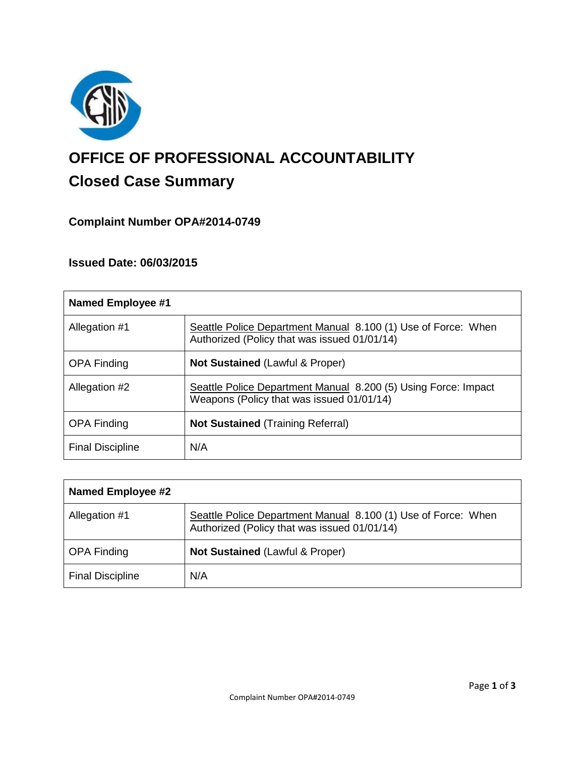

# **OFFICE OF PROFESSIONAL ACCOUNTABILITY Closed Case Summary**

## **Complaint Number OPA#2014-0749**

## **Issued Date: 06/03/2015**

| <b>Named Employee #1</b> |                                                                                                               |
|--------------------------|---------------------------------------------------------------------------------------------------------------|
| Allegation #1            | Seattle Police Department Manual 8.100 (1) Use of Force: When<br>Authorized (Policy that was issued 01/01/14) |
| <b>OPA Finding</b>       | <b>Not Sustained (Lawful &amp; Proper)</b>                                                                    |
| Allegation #2            | Seattle Police Department Manual 8.200 (5) Using Force: Impact<br>Weapons (Policy that was issued 01/01/14)   |
| <b>OPA Finding</b>       | <b>Not Sustained (Training Referral)</b>                                                                      |
| <b>Final Discipline</b>  | N/A                                                                                                           |

| Named Employee #2       |                                                                                                               |
|-------------------------|---------------------------------------------------------------------------------------------------------------|
| Allegation #1           | Seattle Police Department Manual 8.100 (1) Use of Force: When<br>Authorized (Policy that was issued 01/01/14) |
| <b>OPA Finding</b>      | <b>Not Sustained (Lawful &amp; Proper)</b>                                                                    |
| <b>Final Discipline</b> | N/A                                                                                                           |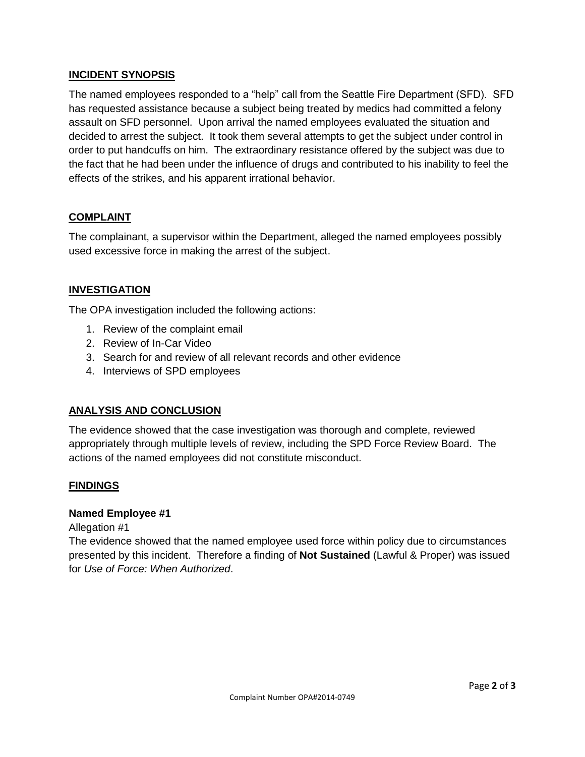#### **INCIDENT SYNOPSIS**

The named employees responded to a "help" call from the Seattle Fire Department (SFD). SFD has requested assistance because a subject being treated by medics had committed a felony assault on SFD personnel. Upon arrival the named employees evaluated the situation and decided to arrest the subject. It took them several attempts to get the subject under control in order to put handcuffs on him. The extraordinary resistance offered by the subject was due to the fact that he had been under the influence of drugs and contributed to his inability to feel the effects of the strikes, and his apparent irrational behavior.

### **COMPLAINT**

The complainant, a supervisor within the Department, alleged the named employees possibly used excessive force in making the arrest of the subject.

#### **INVESTIGATION**

The OPA investigation included the following actions:

- 1. Review of the complaint email
- 2. Review of In-Car Video
- 3. Search for and review of all relevant records and other evidence
- 4. Interviews of SPD employees

#### **ANALYSIS AND CONCLUSION**

The evidence showed that the case investigation was thorough and complete, reviewed appropriately through multiple levels of review, including the SPD Force Review Board. The actions of the named employees did not constitute misconduct.

#### **FINDINGS**

#### **Named Employee #1**

Allegation #1

The evidence showed that the named employee used force within policy due to circumstances presented by this incident. Therefore a finding of **Not Sustained** (Lawful & Proper) was issued for *Use of Force: When Authorized*.